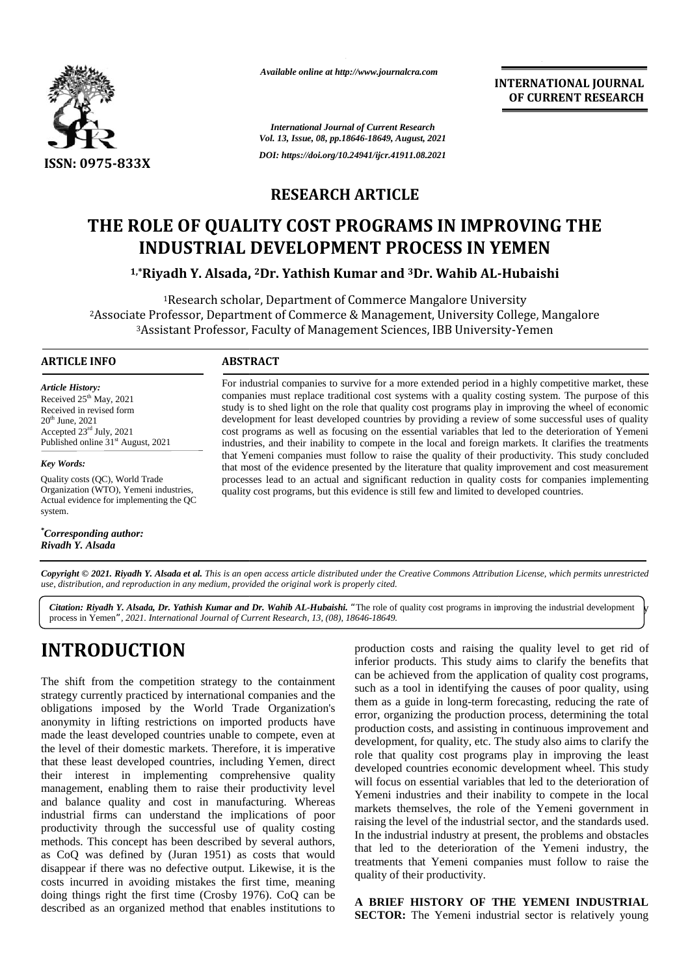

*Available online at http://www.journalcra.com*

**INTERNATIONAL JOURNAL OF CURRENT RESEARCH**

*International Journal of Current Research Vol. 13, Issue, 08, pp.18646-18649, August, 2021 DOI: https://doi.org/10.24941/ijcr.41911.08.2021*

## **RESEARCH ARTICLE RESEARCH**

# THE ROLE OF QUALITY COST PROGRAMS IN IMPROVING THE<br>INDUSTRIAL DEVELOPMENT PROCESS IN YEMEN **INDUSTRIAL DEVELOPMENT PROCESS IN YEMEN**

**1,\*Riyadh Y. Alsada, <sup>2</sup>Dr. Yathish Kumar and <sup>3</sup>Dr. Wahib AL-Hubaishi 1,\***

<sup>1</sup>Research scholar, Department of Commerce Mangalore University <sup>2</sup>Associate Professor, Department of Commerce & Management, University College, Mangalore <sup>3</sup>Assistant Professor, Faculty of Management Sciences, IBB University-Yemen Research

#### **ARTICLE INFO ABSTRACT ARTICLE ABSTRACT**

*Article History: Article History:*  $\text{Received } 25^{\text{th}} \text{ May}, 2021$ Received 25 May, 2021<br>Received in revised form<br> $20^{\text{th}}$  June, 2021  $20^{\text{th}}$  June,  $2021$ Accepted  $23^{\text{rd}}$  July,  $2021$  co Published online  $31^{\text{st}}$  August, 2021 2021<br>**commary**<br>2021<br>**"** August August<br>"<br>"<br>**Winder"**<br>**Riyadh**<br>"<br>**Riyadh**"<br>**Riyadh**"<br>"<br>**Riyadh**"

#### *Key Words:*

Quality costs (QC), World Trade Organization (WTO), Yemeni industries, Actual evidence for implementing the QC system.

*\*Corresponding author: Riyadh Y. Alsada*

For industrial companies to survive for a more extended period in a highly competitive market, these For industrial companies to survive for a more extended period in a highly competitive market, these companies must replace traditional cost systems with a quality costing system. The purpose of this study is to shed light on the role that quality cost programs play in improving the wheel of economic development for least developed countries by providing a review of some successful uses of quality cost programs as well as focusing on the essential variables that led to the deterioration of Yemeni industries, and their inability to compete in the local and foreign markets. It clarifies the treatments that Yemeni companies must follow to raise the quality of their productivity. This study concluded that most of the evidence presented by the literature that quality improvement and cost measurement processes lead to an actual and significant reduction in quality costs for companies implementing quality cost programs, but this evidence is still few and limited to developed countries. study is to shed light on the role that quality cost programs play in improving the wheel of economic<br>development for least developed countries by providing a review of some successful uses of quality<br>cost programs as well in revised form<br>
are two study is to shed light on the role that quality cost programs play in improving<br>
2021<br>
2021<br>
2021<br>
2021<br>
2021<br>
2021<br>
2021<br>
2021<br>
2021<br>
2021<br>
2021<br>
2021<br>
2021 The value of scheme small as focusing

Copyright © 2021. Riyadh Y. Alsada et al. This is an open access article distributed under the Creative Commons Attribution License, which permits unrestricted use, distribution, and reproduction in any medium, provided the original work is properly cited.

Citation: Riyadh Y. Alsada, Dr. Yathish Kumar and Dr. Wahib AL-Hubaishi. "The role of quality cost programs in improving the industrial development by by reducing process in Yemen*", 2021. International Journal of Current Research, 13, (08), 18646-18649.*

# **INTRODUCTION INTRODUCTION**

The shift from the competition strategy to the containment<br>
strategy currently practiced by international companies and the<br>
obligations imposed by the World Trade Organization's<br>
anonymity in lifting restrictions on impo strategy currently practiced by international companies and the obligations imposed by the World Trade Organization's anonymity in lifting restrictions on imported products have made the least developed countries unable to compete, even at the level of their domestic markets. Therefore, it is imperative that these least developed countries, including Yemen, direct their interest in implementing comprehensive quality management, enabling them to raise their productivity level and balance quality and cost in manufacturing. Whereas industrial firms can understand the implications of poor productivity through the successful use of quality costing methods. This concept has been described by several authors, as CoQ was defined by (Juran 1951) as costs that would disappear if there was no defective output. Likewise, it is the costs incurred in avoiding mistakes the first time, meaning doing things right the first time (Crosby 1976). CoQ can be described as an organized method that enables institutions to Clarion: Royalt Y. Atada, Dr. Yanish Knuar and Dr. Walth Al-Habachi. "The ole of quality cost programs in improving the industrial development  $\frac{1}{2}$  process in Yemen ". 2021. International Journal of Current Research,

production costs and raising the quality level to get rid of inferior products. This study aims to clarify the benefits that can be achieved from the application of quality cost programs, such as a tool in identifying the causes of poor quality, using them as a guide in long-term forecasting, reducing the rate of error, organizing the production process, determining the total production costs, and assisting in continuous improvement and development, for quality, etc. The study also aims to clarify the role that quality cost programs play in improving the least developed countries economic development wheel. This study will focus on essential variables that led to the deterioration of Yemeni industries and their inability to compete in the local markets themselves, the role of the Yemeni government in raising the level of the industrial sector, and the standards used. In the industrial industry at present, the problems and obstacles that led to the deterioration of the Yemeni industry, the treatments that Yemeni companies must follow to raise the quality of their productivity. focus on essential variables that led to the deteni industries and their inability to compete etets themselves, the role of the Yemeni gong the level of the industrial sector, and the state industrial industry at present, **EXAMPLE THE SECTION CONFIRM ASSESS AND THE CONSULTER CONSULTER SECTION IN A SECTION CONFIRM ASSESS ARE AN ABSOLUTE THE VALUE AND INTERNATIONAL THE UNIT INTERNATION CONFIRM IN A SECTION IN A SECTION IN A SECTION IN A SECT** myosco by the word rate of the industrial industry at the remembers and developed countries on imported products have<br>at developed countries unable to compete, even at<br>heir domestic markets. Therefore, it is imperative to

**A BRIEF HISTORY OF THE YEMENI INDUSTRIAL SECTOR:** The Yemeni industrial sector is relatively young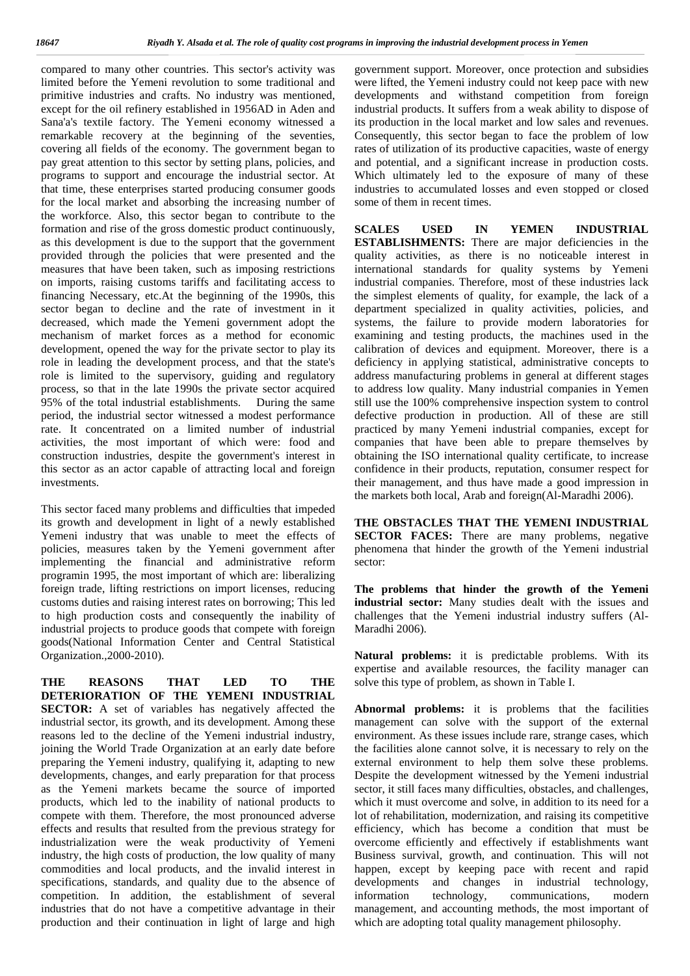compared to many other countries. This sector's activity was limited before the Yemeni revolution to some traditional and primitive industries and crafts. No industry was mentioned, except for the oil refinery established in 1956AD in Aden and Sana'a's textile factory. The Yemeni economy witnessed a remarkable recovery at the beginning of the seventies, covering all fields of the economy. The government began to pay great attention to this sector by setting plans, policies, and programs to support and encourage the industrial sector. At that time, these enterprises started producing consumer goods for the local market and absorbing the increasing number of the workforce. Also, this sector began to contribute to the formation and rise of the gross domestic product continuously, SCALES as this development is due to the support that the government provided through the policies that were presented and the measures that have been taken, such as imposing restrictions on imports, raising customs tariffs and facilitating access to financing Necessary, etc.At the beginning of the 1990s, this sector began to decline and the rate of investment in it decreased, which made the Yemeni government adopt the mechanism of market forces as a method for economic development, opened the way for the private sector to play its role in leading the development process, and that the state's role is limited to the supervisory, guiding and regulatory process, so that in the late 1990s the private sector acquired 95% of the total industrial establishments. During the same period, the industrial sector witnessed a modest performance rate. It concentrated on a limited number of industrial activities, the most important of which were: food and construction industries, despite the government's interest in this sector as an actor capable of attracting local and foreign investments.

This sector faced many problems and difficulties that impeded its growth and development in light of a newly established Yemeni industry that was unable to meet the effects of policies, measures taken by the Yemeni government after implementing the financial and administrative reform programin 1995, the most important of which are: liberalizing foreign trade, lifting restrictions on import licenses, reducing customs duties and raising interest rates on borrowing; This led to high production costs and consequently the inability of industrial projects to produce goods that compete with foreign goods(National Information Center and Central Statistical Organization.,2000-2010).

**THE REASONS THAT LED TO THE DETERIORATION OF THE YEMENI INDUSTRIAL SECTOR:** A set of variables has negatively affected the industrial sector, its growth, and its development. Among these reasons led to the decline of the Yemeni industrial industry, joining the World Trade Organization at an early date before preparing the Yemeni industry, qualifying it, adapting to new developments, changes, and early preparation for that process as the Yemeni markets became the source of imported products, which led to the inability of national products to compete with them. Therefore, the most pronounced adverse effects and results that resulted from the previous strategy for industrialization were the weak productivity of Yemeni industry, the high costs of production, the low quality of many commodities and local products, and the invalid interest in specifications, standards, and quality due to the absence of competition. In addition, the establishment of several industries that do not have a competitive advantage in their production and their continuation in light of large and high

government support. Moreover, once protection and subsidies were lifted, the Yemeni industry could not keep pace with new developments and withstand competition from foreign industrial products. It suffers from a weak ability to dispose of its production in the local market and low sales and revenues. Consequently, this sector began to face the problem of low rates of utilization of its productive capacities, waste of energy and potential, and a significant increase in production costs. Which ultimately led to the exposure of many of these industries to accumulated losses and even stopped or closed some of them in recent times.

**USED IN YEMEN INDUSTRIAL ESTABLISHMENTS:** There are major deficiencies in the quality activities, as there is no noticeable interest in international standards for quality systems by Yemeni industrial companies. Therefore, most of these industries lack the simplest elements of quality, for example, the lack of a department specialized in quality activities, policies, and systems, the failure to provide modern laboratories for examining and testing products, the machines used in the calibration of devices and equipment. Moreover, there is a deficiency in applying statistical, administrative concepts to address manufacturing problems in general at different stages to address low quality. Many industrial companies in Yemen still use the 100% comprehensive inspection system to control defective production in production. All of these are still practiced by many Yemeni industrial companies, except for companies that have been able to prepare themselves by obtaining the ISO international quality certificate, to increase confidence in their products, reputation, consumer respect for their management, and thus have made a good impression in the markets both local, Arab and foreign(Al-Maradhi 2006).

**THE OBSTACLES THAT THE YEMENI INDUSTRIAL SECTOR FACES:** There are many problems, negative phenomena that hinder the growth of the Yemeni industrial sector:

**The problems that hinder the growth of the Yemeni industrial sector:** Many studies dealt with the issues and challenges that the Yemeni industrial industry suffers (Al- Maradhi 2006).

**Natural problems:** it is predictable problems. With its expertise and available resources, the facility manager can solve this type of problem, as shown in Table I.

**Abnormal problems:** it is problems that the facilities management can solve with the support of the external environment. As these issues include rare, strange cases, which the facilities alone cannot solve, it is necessary to rely on the external environment to help them solve these problems. Despite the development witnessed by the Yemeni industrial sector, it still faces many difficulties, obstacles, and challenges, which it must overcome and solve, in addition to its need for a lot of rehabilitation, modernization, and raising its competitive efficiency, which has become a condition that must be overcome efficiently and effectively if establishments want Business survival, growth, and continuation. This will not happen, except by keeping pace with recent and rapid developments and changes in industrial technology, technology, communications, modern management, and accounting methods, the most important of which are adopting total quality management philosophy.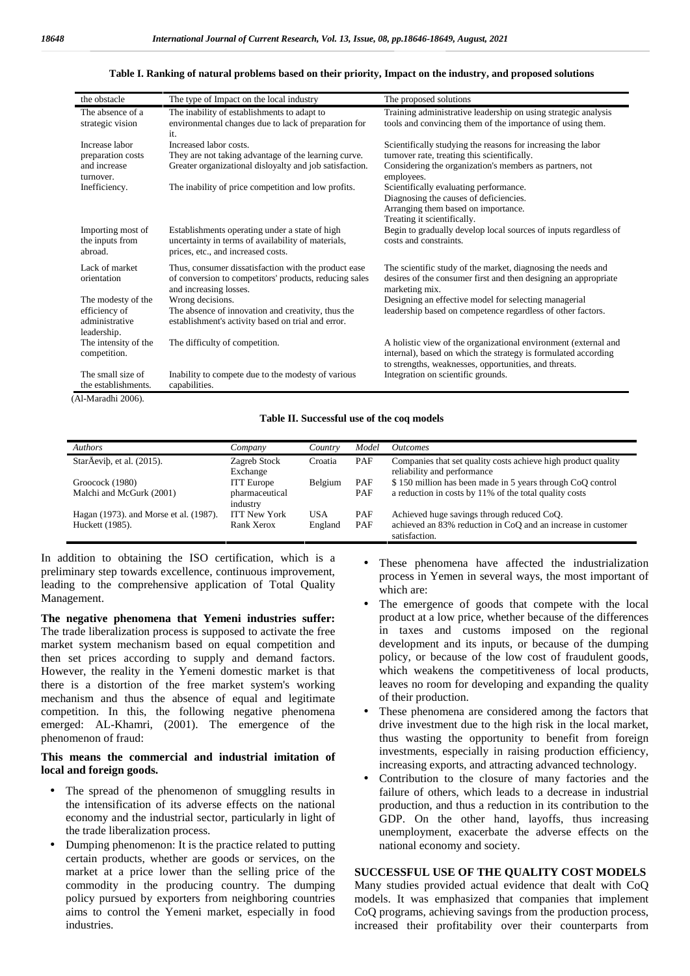| the obstacle                                    | The type of Impact on the local industry                                                                                                   | The proposed solutions                                                                                                                                                                     |
|-------------------------------------------------|--------------------------------------------------------------------------------------------------------------------------------------------|--------------------------------------------------------------------------------------------------------------------------------------------------------------------------------------------|
| The absence of a                                | The inability of establishments to adapt to                                                                                                | Training administrative leadership on using strategic analysis                                                                                                                             |
| strategic vision                                | environmental changes due to lack of preparation for<br>it.                                                                                | tools and convincing them of the importance of using them.                                                                                                                                 |
| Increase labor                                  | Increased labor costs.                                                                                                                     | Scientifically studying the reasons for increasing the labor                                                                                                                               |
| preparation costs                               | They are not taking advantage of the learning curve.                                                                                       | turnover rate, treating this scientifically.                                                                                                                                               |
| and increase<br>turnover.                       | Greater organizational disloyalty and job satisfaction.                                                                                    | Considering the organization's members as partners, not<br>employees.                                                                                                                      |
| Inefficiency.                                   | The inability of price competition and low profits.                                                                                        | Scientifically evaluating performance.                                                                                                                                                     |
|                                                 |                                                                                                                                            | Diagnosing the causes of deficiencies.                                                                                                                                                     |
|                                                 |                                                                                                                                            | Arranging them based on importance.                                                                                                                                                        |
|                                                 |                                                                                                                                            | Treating it scientifically.                                                                                                                                                                |
| Importing most of<br>the inputs from<br>abroad. | Establishments operating under a state of high<br>uncertainty in terms of availability of materials,<br>prices, etc., and increased costs. | Begin to gradually develop local sources of inputs regardless of<br>costs and constraints.                                                                                                 |
| Lack of market<br>orientation                   | Thus, consumer dissatisfaction with the product ease<br>of conversion to competitors' products, reducing sales<br>and increasing losses.   | The scientific study of the market, diagnosing the needs and<br>desires of the consumer first and then designing an appropriate<br>marketing mix.                                          |
| The modesty of the                              | Wrong decisions.                                                                                                                           | Designing an effective model for selecting managerial                                                                                                                                      |
| efficiency of                                   | The absence of innovation and creativity, thus the                                                                                         | leadership based on competence regardless of other factors.                                                                                                                                |
| administrative<br>leadership.                   | establishment's activity based on trial and error.                                                                                         |                                                                                                                                                                                            |
| The intensity of the<br>competition.            | The difficulty of competition.                                                                                                             | A holistic view of the organizational environment (external and<br>internal), based on which the strategy is formulated according<br>to strengths, weaknesses, opportunities, and threats. |
| The small size of<br>the establishments.        | Inability to compete due to the modesty of various<br>capabilities.                                                                        | Integration on scientific grounds.                                                                                                                                                         |

#### **Table I. Ranking of natural problems based on their priority, Impact on the industry, and proposed solutions**

(Al-Maradhi 2006).

#### **Table II. Successful use of the coq models**

| <b>Authors</b>                         | Company                    | Country | Model | <i><u><b>Outcomes</b></u></i>                                                                |
|----------------------------------------|----------------------------|---------|-------|----------------------------------------------------------------------------------------------|
| Star evip, et al. $(2015)$ .           | Zagreb Stock<br>Exchange   | Croatia | PAF   | Companies that set quality costs achieve high product quality<br>reliability and performance |
| Groocock (1980)                        | <b>ITT</b> Europe          | Belgium | PAF   | \$150 million has been made in 5 years through CoO control                                   |
| Malchi and McGurk (2001)               | pharmaceutical<br>industry |         | PAF   | a reduction in costs by 11% of the total quality costs                                       |
| Hagan (1973). and Morse et al. (1987). | <b>ITT New York</b>        | USA     | PAF   | Achieved huge savings through reduced CoQ.                                                   |
| Huckett (1985).                        | Rank Xerox                 | England | PAF   | achieved an 83% reduction in CoQ and an increase in customer<br>satisfaction.                |

In addition to obtaining the ISO certification, which is a preliminary step towards excellence, continuous improvement, leading to the comprehensive application of Total Quality Management.

**The negative phenomena that Yemeni industries suffer:** The trade liberalization process is supposed to activate the free market system mechanism based on equal competition and then set prices according to supply and demand factors. However, the reality in the Yemeni domestic market is that there is a distortion of the free market system's working mechanism and thus the absence of equal and legitimate competition. In this, the following negative phenomena emerged: AL-Khamri, (2001). The emergence of the phenomenon of fraud:

#### **This means the commercial and industrial imitation of local and foreign goods.**

- The spread of the phenomenon of smuggling results in the intensification of its adverse effects on the national economy and the industrial sector, particularly in light of the trade liberalization process.
- Dumping phenomenon: It is the practice related to putting certain products, whether are goods or services, on the market at a price lower than the selling price of the commodity in the producing country. The dumping policy pursued by exporters from neighboring countries aims to control the Yemeni market, especially in food industries.
- These phenomena have affected the industrialization process in Yemen in several ways, the most important of which are:
- The emergence of goods that compete with the local product at a low price, whether because of the differences in taxes and customs imposed on the regional development and its inputs, or because of the dumping policy, or because of the low cost of fraudulent goods, which weakens the competitiveness of local products, leaves no room for developing and expanding the quality of their production.
- These phenomena are considered among the factors that drive investment due to the high risk in the local market, thus wasting the opportunity to benefit from foreign investments, especially in raising production efficiency, increasing exports, and attracting advanced technology.
- Contribution to the closure of many factories and the failure of others, which leads to a decrease in industrial production, and thus a reduction in its contribution to the GDP. On the other hand, layoffs, thus increasing unemployment, exacerbate the adverse effects on the national economy and society.

#### **SUCCESSFUL USE OF THE QUALITY COST MODELS**

Many studies provided actual evidence that dealt with CoQ models. It was emphasized that companies that implement CoQ programs, achieving savings from the production process, increased their profitability over their counterparts from